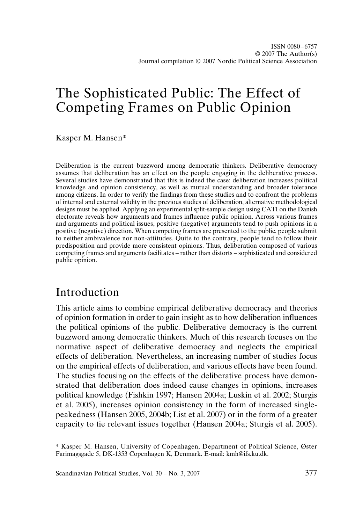# The Sophisticated Public: The Effect of Competing Frames on Public Opinion

Kasper M. Hansen\*

Deliberation is the current buzzword among democratic thinkers. Deliberative democracy assumes that deliberation has an effect on the people engaging in the deliberative process. Several studies have demonstrated that this is indeed the case: deliberation increases political knowledge and opinion consistency, as well as mutual understanding and broader tolerance among citizens. In order to verify the findings from these studies and to confront the problems of internal and external validity in the previous studies of deliberation, alternative methodological designs must be applied. Applying an experimental split-sample design using CATI on the Danish electorate reveals how arguments and frames influence public opinion. Across various frames and arguments and political issues, positive (negative) arguments tend to push opinions in a positive (negative) direction. When competing frames are presented to the public, people submit to neither ambivalence nor non-attitudes. Quite to the contrary, people tend to follow their predisposition and provide more consistent opinions. Thus, deliberation composed of various competing frames and arguments facilitates – rather than distorts – sophisticated and considered public opinion.

### Introduction

This article aims to combine empirical deliberative democracy and theories of opinion formation in order to gain insight as to how deliberation influences the political opinions of the public. Deliberative democracy is the current buzzword among democratic thinkers. Much of this research focuses on the normative aspect of deliberative democracy and neglects the empirical effects of deliberation. Nevertheless, an increasing number of studies focus on the empirical effects of deliberation, and various effects have been found. The studies focusing on the effects of the deliberative process have demonstrated that deliberation does indeed cause changes in opinions, increases political knowledge (Fishkin 1997; Hansen 2004a; Luskin et al. 2002; Sturgis et al. 2005), increases opinion consistency in the form of increased singlepeakedness (Hansen 2005, 2004b; List et al. 2007) or in the form of a greater capacity to tie relevant issues together (Hansen 2004a; Sturgis et al. 2005).

Scandinavian Political Studies, Vol. 30 – No. 3, 2007 377

<sup>\*</sup> Kasper M. Hansen, University of Copenhagen, Department of Political Science, Øster Farimagsgade 5, DK-1353 Copenhagen K, Denmark. E-mail: kmh@ifs.ku.dk.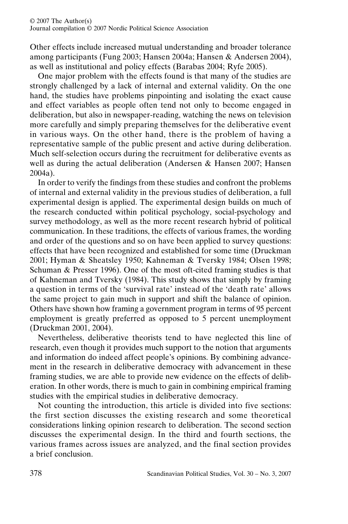Other effects include increased mutual understanding and broader tolerance among participants (Fung 2003; Hansen 2004a; Hansen & Andersen 2004), as well as institutional and policy effects (Barabas 2004; Ryfe 2005).

One major problem with the effects found is that many of the studies are strongly challenged by a lack of internal and external validity. On the one hand, the studies have problems pinpointing and isolating the exact cause and effect variables as people often tend not only to become engaged in deliberation, but also in newspaper-reading, watching the news on television more carefully and simply preparing themselves for the deliberative event in various ways. On the other hand, there is the problem of having a representative sample of the public present and active during deliberation. Much self-selection occurs during the recruitment for deliberative events as well as during the actual deliberation (Andersen & Hansen 2007; Hansen 2004a).

In order to verify the findings from these studies and confront the problems of internal and external validity in the previous studies of deliberation, a full experimental design is applied. The experimental design builds on much of the research conducted within political psychology, social-psychology and survey methodology, as well as the more recent research hybrid of political communication. In these traditions, the effects of various frames, the wording and order of the questions and so on have been applied to survey questions: effects that have been recognized and established for some time (Druckman 2001; Hyman & Sheatsley 1950; Kahneman & Tversky 1984; Olsen 1998; Schuman & Presser 1996). One of the most oft-cited framing studies is that of Kahneman and Tversky (1984). This study shows that simply by framing a question in terms of the 'survival rate' instead of the 'death rate' allows the same project to gain much in support and shift the balance of opinion. Others have shown how framing a government program in terms of 95 percent employment is greatly preferred as opposed to 5 percent unemployment (Druckman 2001, 2004).

Nevertheless, deliberative theorists tend to have neglected this line of research, even though it provides much support to the notion that arguments and information do indeed affect people's opinions. By combining advancement in the research in deliberative democracy with advancement in these framing studies, we are able to provide new evidence on the effects of deliberation. In other words, there is much to gain in combining empirical framing studies with the empirical studies in deliberative democracy.

Not counting the introduction, this article is divided into five sections: the first section discusses the existing research and some theoretical considerations linking opinion research to deliberation. The second section discusses the experimental design. In the third and fourth sections, the various frames across issues are analyzed, and the final section provides a brief conclusion.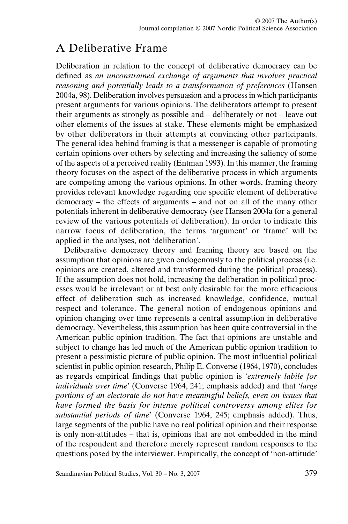## A Deliberative Frame

Deliberation in relation to the concept of deliberative democracy can be defined as *an unconstrained exchange of arguments that involves practical reasoning and potentially leads to a transformation of preferences* (Hansen 2004a, 98). Deliberation involves persuasion and a process in which participants present arguments for various opinions. The deliberators attempt to present their arguments as strongly as possible and – deliberately or not – leave out other elements of the issues at stake. These elements might be emphasized by other deliberators in their attempts at convincing other participants. The general idea behind framing is that a messenger is capable of promoting certain opinions over others by selecting and increasing the saliency of some of the aspects of a perceived reality (Entman 1993). In this manner, the framing theory focuses on the aspect of the deliberative process in which arguments are competing among the various opinions. In other words, framing theory provides relevant knowledge regarding one specific element of deliberative democracy – the effects of arguments – and not on all of the many other potentials inherent in deliberative democracy (see Hansen 2004a for a general review of the various potentials of deliberation). In order to indicate this narrow focus of deliberation, the terms 'argument' or 'frame' will be applied in the analyses, not 'deliberation'.

Deliberative democracy theory and framing theory are based on the assumption that opinions are given endogenously to the political process (i.e. opinions are created, altered and transformed during the political process). If the assumption does not hold, increasing the deliberation in political processes would be irrelevant or at best only desirable for the more efficacious effect of deliberation such as increased knowledge, confidence, mutual respect and tolerance. The general notion of endogenous opinions and opinion changing over time represents a central assumption in deliberative democracy. Nevertheless, this assumption has been quite controversial in the American public opinion tradition. The fact that opinions are unstable and subject to change has led much of the American public opinion tradition to present a pessimistic picture of public opinion. The most influential political scientist in public opinion research, Philip E. Converse (1964, 1970), concludes as regards empirical findings that public opinion is '*extremely labile for individuals over time*' (Converse 1964, 241; emphasis added) and that '*large portions of an electorate do not have meaningful beliefs, even on issues that have formed the basis for intense political controversy among elites for substantial periods of time*' (Converse 1964, 245; emphasis added). Thus, large segments of the public have no real political opinion and their response is only non-attitudes – that is, opinions that are not embedded in the mind of the respondent and therefore merely represent random responses to the questions posed by the interviewer. Empirically, the concept of 'non-attitude'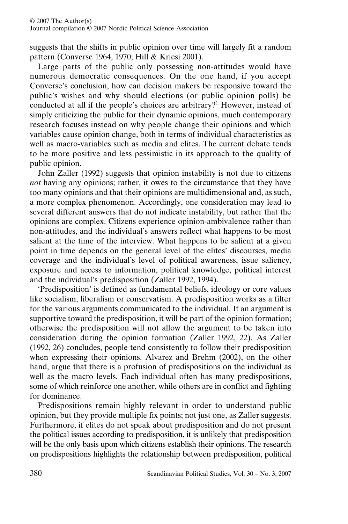suggests that the shifts in public opinion over time will largely fit a random pattern (Converse 1964, 1970; Hill & Kriesi 2001).

Large parts of the public only possessing non-attitudes would have numerous democratic consequences. On the one hand, if you accept Converse's conclusion, how can decision makers be responsive toward the public's wishes and why should elections (or public opinion polls) be conducted at all if the people's choices are arbitrary?<sup>1</sup> However, instead of simply criticizing the public for their dynamic opinions, much contemporary research focuses instead on why people change their opinions and which variables cause opinion change, both in terms of individual characteristics as well as macro-variables such as media and elites. The current debate tends to be more positive and less pessimistic in its approach to the quality of public opinion.

John Zaller (1992) suggests that opinion instability is not due to citizens *not* having any opinions; rather, it owes to the circumstance that they have too many opinions and that their opinions are multidimensional and, as such, a more complex phenomenon. Accordingly, one consideration may lead to several different answers that do not indicate instability, but rather that the opinions are complex. Citizens experience opinion-ambivalence rather than non-attitudes, and the individual's answers reflect what happens to be most salient at the time of the interview. What happens to be salient at a given point in time depends on the general level of the elites' discourses, media coverage and the individual's level of political awareness, issue saliency, exposure and access to information, political knowledge, political interest and the individual's predisposition (Zaller 1992, 1994).

'Predisposition' is defined as fundamental beliefs, ideology or core values like socialism, liberalism or conservatism. A predisposition works as a filter for the various arguments communicated to the individual. If an argument is supportive toward the predisposition, it will be part of the opinion formation; otherwise the predisposition will not allow the argument to be taken into consideration during the opinion formation (Zaller 1992, 22). As Zaller (1992, 26) concludes, people tend consistently to follow their predisposition when expressing their opinions. Alvarez and Brehm (2002), on the other hand, argue that there is a profusion of predispositions on the individual as well as the macro levels. Each individual often has many predispositions, some of which reinforce one another, while others are in conflict and fighting for dominance.

Predispositions remain highly relevant in order to understand public opinion, but they provide multiple fix points; not just one, as Zaller suggests. Furthermore, if elites do not speak about predisposition and do not present the political issues according to predisposition, it is unlikely that predisposition will be the only basis upon which citizens establish their opinions. The research on predispositions highlights the relationship between predisposition, political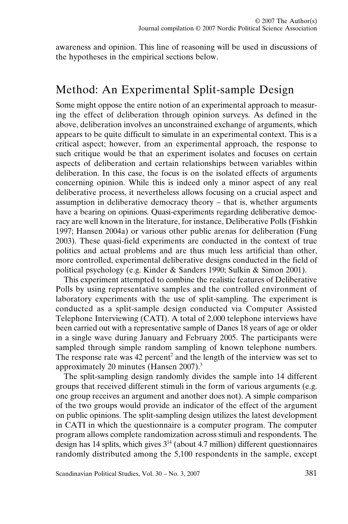awareness and opinion. This line of reasoning will be used in discussions of the hypotheses in the empirical sections below.

### Method: An Experimental Split-sample Design

Some might oppose the entire notion of an experimental approach to measuring the effect of deliberation through opinion surveys. As defined in the above, deliberation involves an unconstrained exchange of arguments, which appears to be quite difficult to simulate in an experimental context. This is a critical aspect; however, from an experimental approach, the response to such critique would be that an experiment isolates and focuses on certain aspects of deliberation and certain relationships between variables within deliberation. In this case, the focus is on the isolated effects of arguments concerning opinion. While this is indeed only a minor aspect of any real deliberative process, it nevertheless allows focusing on a crucial aspect and assumption in deliberative democracy theory – that is, whether arguments have a bearing on opinions. Quasi-experiments regarding deliberative democracy are well known in the literature, for instance, Deliberative Polls (Fishkin 1997; Hansen 2004a) or various other public arenas for deliberation (Fung 2003). These quasi-field experiments are conducted in the context of true politics and actual problems and are thus much less artificial than other, more controlled, experimental deliberative designs conducted in the field of political psychology (e.g. Kinder & Sanders 1990; Sulkin & Simon 2001).

This experiment attempted to combine the realistic features of Deliberative Polls by using representative samples and the controlled environment of laboratory experiments with the use of split-sampling. The experiment is conducted as a split-sample design conducted via Computer Assisted Telephone Interviewing (CATI). A total of 2,000 telephone interviews have been carried out with a representative sample of Danes 18 years of age or older in a single wave during January and February 2005. The participants were sampled through simple random sampling of known telephone numbers. The response rate was  $42$  percent<sup>2</sup> and the length of the interview was set to approximately 20 minutes (Hansen 2007).3

The split-sampling design randomly divides the sample into 14 different groups that received different stimuli in the form of various arguments (e.g. one group receives an argument and another does not). A simple comparison of the two groups would provide an indicator of the effect of the argument on public opinions. The split-sampling design utilizes the latest development in CATI in which the questionnaire is a computer program. The computer program allows complete randomization across stimuli and respondents. The design has 14 splits, which gives  $3^{14}$  (about 4.7 million) different questionnaires randomly distributed among the 5,100 respondents in the sample, except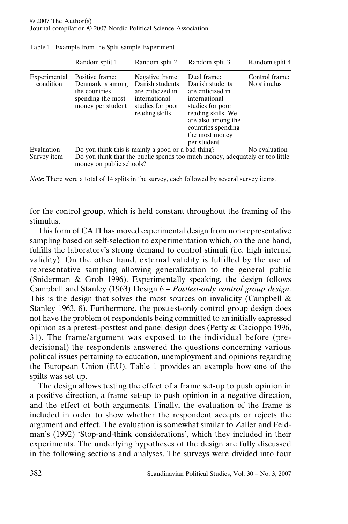|                           | Random split 1                                                                                 | Random split 2                                                                                                 | Random split 3                                                                                                                                                                              | Random split 4                |
|---------------------------|------------------------------------------------------------------------------------------------|----------------------------------------------------------------------------------------------------------------|---------------------------------------------------------------------------------------------------------------------------------------------------------------------------------------------|-------------------------------|
| Experimental<br>condition | Positive frame:<br>Denmark is among<br>the countries<br>spending the most<br>money per student | Negative frame:<br>Danish students<br>are criticized in<br>international<br>studies for poor<br>reading skills | Dual frame:<br>Danish students<br>are criticized in<br>international<br>studies for poor<br>reading skills. We<br>are also among the<br>countries spending<br>the most money<br>per student | Control frame:<br>No stimulus |
| Evaluation<br>Survey item | Do you think this is mainly a good or a bad thing?<br>money on public schools?                 |                                                                                                                | Do you think that the public spends too much money, adequately or too little                                                                                                                | No evaluation                 |

Table 1. Example from the Split-sample Experiment

*Note*: There were a total of 14 splits in the survey, each followed by several survey items.

for the control group, which is held constant throughout the framing of the stimulus.

This form of CATI has moved experimental design from non-representative sampling based on self-selection to experimentation which, on the one hand, fulfills the laboratory's strong demand to control stimuli (i.e. high internal validity). On the other hand, external validity is fulfilled by the use of representative sampling allowing generalization to the general public (Sniderman & Grob 1996). Experimentally speaking, the design follows Campbell and Stanley (1963) Design 6 – *Posttest-only control group design*. This is the design that solves the most sources on invalidity (Campbell  $\&$ Stanley 1963, 8). Furthermore, the posttest-only control group design does not have the problem of respondents being committed to an initially expressed opinion as a pretest–posttest and panel design does (Petty & Cacioppo 1996, 31). The frame/argument was exposed to the individual before (predecisional) the respondents answered the questions concerning various political issues pertaining to education, unemployment and opinions regarding the European Union (EU). Table 1 provides an example how one of the spilts was set up.

The design allows testing the effect of a frame set-up to push opinion in a positive direction, a frame set-up to push opinion in a negative direction, and the effect of both arguments. Finally, the evaluation of the frame is included in order to show whether the respondent accepts or rejects the argument and effect. The evaluation is somewhat similar to Zaller and Feldman's (1992) 'Stop-and-think considerations', which they included in their experiments. The underlying hypotheses of the design are fully discussed in the following sections and analyses. The surveys were divided into four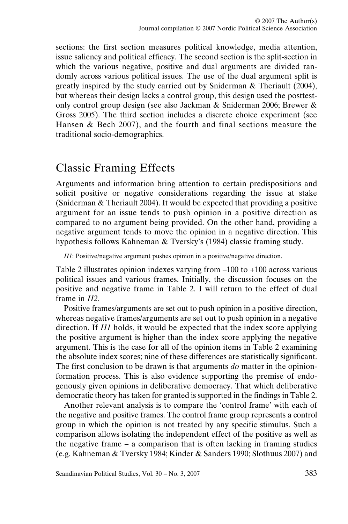sections: the first section measures political knowledge, media attention, issue saliency and political efficacy. The second section is the split-section in which the various negative, positive and dual arguments are divided randomly across various political issues. The use of the dual argument split is greatly inspired by the study carried out by Sniderman & Theriault (2004), but whereas their design lacks a control group, this design used the posttestonly control group design (see also Jackman & Sniderman 2006; Brewer & Gross 2005). The third section includes a discrete choice experiment (see Hansen & Bech 2007), and the fourth and final sections measure the traditional socio-demographics.

### Classic Framing Effects

Arguments and information bring attention to certain predispositions and solicit positive or negative considerations regarding the issue at stake (Sniderman & Theriault 2004). It would be expected that providing a positive argument for an issue tends to push opinion in a positive direction as compared to no argument being provided. On the other hand, providing a negative argument tends to move the opinion in a negative direction. This hypothesis follows Kahneman & Tversky's (1984) classic framing study.

*H1*: Positive/negative argument pushes opinion in a positive/negative direction.

Table 2 illustrates opinion indexes varying from –100 to +100 across various political issues and various frames. Initially, the discussion focuses on the positive and negative frame in Table 2. I will return to the effect of dual frame in *H2*.

Positive frames/arguments are set out to push opinion in a positive direction, whereas negative frames/arguments are set out to push opinion in a negative direction. If *H1* holds, it would be expected that the index score applying the positive argument is higher than the index score applying the negative argument. This is the case for all of the opinion items in Table 2 examining the absolute index scores; nine of these differences are statistically significant. The first conclusion to be drawn is that arguments *do* matter in the opinionformation process. This is also evidence supporting the premise of endogenously given opinions in deliberative democracy. That which deliberative democratic theory has taken for granted is supported in the findings in Table 2.

Another relevant analysis is to compare the 'control frame' with each of the negative and positive frames. The control frame group represents a control group in which the opinion is not treated by any specific stimulus. Such a comparison allows isolating the independent effect of the positive as well as the negative frame – a comparison that is often lacking in framing studies (e.g. Kahneman & Tversky 1984; Kinder & Sanders 1990; Slothuus 2007) and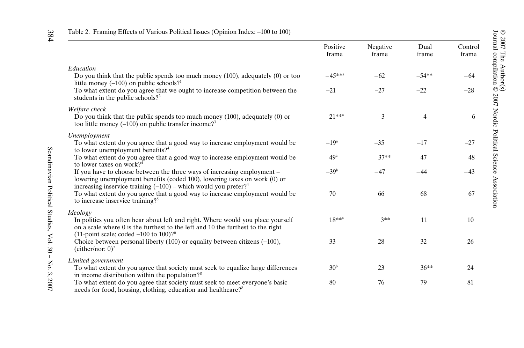| ֖֖֖֖֖֧ׅׅ֖֚֚֚֚֚֚֚֚֚֚֚֚֚֚֡֝֝֬֝֬֝֬֝֬֝֬֝֬֝֬֝֬֝֬֝֬֝֬֝֬֝֬֝֬֝֬֝ | Journal compilation ◎ 2007 Nordic Political Science Association<br>$@$ 2007 The Author(s) |  |
|----------------------------------------------------------|-------------------------------------------------------------------------------------------|--|
|                                                          |                                                                                           |  |
|                                                          |                                                                                           |  |
|                                                          |                                                                                           |  |
|                                                          |                                                                                           |  |
|                                                          |                                                                                           |  |

| Table 2. Framing Effects of Various Political Issues (Opinion Index: -100 to 100) |
|-----------------------------------------------------------------------------------|
|-----------------------------------------------------------------------------------|

|                                                                                                                                                                                                                                             | Positive<br>frame  | Negative<br>frame | Dual<br>frame  | Control<br>frame |
|---------------------------------------------------------------------------------------------------------------------------------------------------------------------------------------------------------------------------------------------|--------------------|-------------------|----------------|------------------|
| Education<br>Do you think that the public spends too much money $(100)$ , adequately $(0)$ or too<br>little money $(-100)$ on public schools? <sup>1</sup>                                                                                  | $-45***$           | $-62$             | $-54**$        | $-64$            |
| To what extent do you agree that we ought to increase competition between the<br>students in the public schools? <sup>2</sup>                                                                                                               | $-21$              | $-27$             | $-22$          | $-28$            |
| Welfare check<br>Do you think that the public spends too much money $(100)$ , adequately $(0)$ or<br>too little money $(-100)$ on public transfer income? <sup>3</sup>                                                                      | $21***^a$          | 3                 | $\overline{4}$ | 6                |
| Unemployment<br>To what extent do you agree that a good way to increase employment would be<br>to lower unemployment benefits? $4$                                                                                                          | $-19$ <sup>a</sup> | $-35$             | $-17$          | $-27$            |
| To what extent do you agree that a good way to increase employment would be<br>to lower taxes on work? <sup>4</sup>                                                                                                                         | 49 <sup>a</sup>    | $37**$            | 47             | 48               |
| If you have to choose between the three ways of increasing employment –<br>lowering unemployment benefits (coded 100), lowering taxes on work (0) or<br>increasing inservice training $(-100)$ – which would you prefer? <sup>4</sup>       | $-39b$             | $-47$             | $-44$          | $-43$            |
| To what extent do you agree that a good way to increase employment would be<br>to increase inservice training? <sup>5</sup>                                                                                                                 | 70                 | 66                | 68             | 67               |
| Ideology<br>In politics you often hear about left and right. Where would you place yourself<br>on a scale where 0 is the furthest to the left and 10 the furthest to the right<br>$(11$ -point scale; coded $-100$ to $100$ )? <sup>6</sup> | $18***$            | $3**$             | 11             | 10               |
| Choice between personal liberty $(100)$ or equality between citizens $(-100)$ ,<br>(either/nor: $0$ ) <sup>7</sup>                                                                                                                          | 33                 | 28                | 32             | 26               |
| Limited government<br>To what extent do you agree that society must seek to equalize large differences<br>in income distribution within the population? <sup>8</sup>                                                                        | 30 <sup>b</sup>    | 23                | $36**$         | 24               |
| To what extent do you agree that society must seek to meet everyone's basic<br>saada faa faad, harrina, slatkina, adreestian and haalthaana 98 -                                                                                            | 80                 | 76                | 79             | 81               |

needs for food, housing, clothing, education and healthcare?<sup>8</sup>

384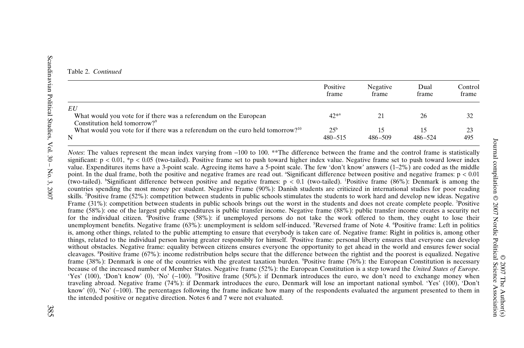Table 2. *Continued*

|                                                                                                                     | Positive<br>frame           | Negative<br>frame | Dual<br>frame     | Control<br>frame |
|---------------------------------------------------------------------------------------------------------------------|-----------------------------|-------------------|-------------------|------------------|
| ΕU<br>What would you vote for if there was a referendum on the European<br>Constitution held tomorrow? <sup>9</sup> | $42^{*a}$                   |                   | 26                | 32               |
| What would you vote for if there was a referendum on the euro held tomorrow? <sup>10</sup>                          | $25^{\rm b}$<br>$480 - 515$ | $486 - 509$       | 15<br>$486 - 524$ | 23<br>495        |

*Notes*: The values represent the mean index varying from −100 to 100. \*\*The difference between the frame and the control frame is statistically significant:  $p < 0.01$ , \*p < 0.05 (two-tailed). Positive frame set to push toward higher index value. Negative frame set to push toward lower index value. Expenditures items have a 3-point scale. Agreeing items have a 5-point scale. The few 'don't know' answers (1–2%) are coded as the middle point. In the dual frame, both the positive and negative frames are read out. "Significant difference between positive and negative frames:  $p < 0.01$ (two-tailed). Significant difference between positive and negative frames:  $p < 0.1$  (two-tailed). Positive frame (86%): Denmark is among the countries spending the most money per student. Negative Frame (90%): Danish students are criticized in international studies for poor reading skills. 2Positive frame (52%): competition between students in public schools stimulates the students to work hard and develop new ideas. Negative Frame (31%): competition between students in public schools brings out the worst in the students and does not create complete people. <sup>3</sup>Positive frame (58%): one of the largest public expenditures is public transfer income. Negative frame (88%): public transfer income creates a security net for the individual citizen. <sup>4</sup>Positive frame (58%): if unemployed persons do not take the work offered to them, they ought to lose their unemployment benefits. Negative frame (63%): unemployment is seldom self-induced. <sup>5</sup>Reversed frame of Note 4. <sup>6</sup>Positive frame: Left in politics is, among other things, related to the public attempting to ensure that everybody is taken care of. Negative frame: Right in politics is, among other things, related to the individual person having greater responsibly for himself. 7Positive frame: personal liberty ensures that everyone can develop without obstacles. Negative frame: equality between citizens ensures everyone the opportunity to get ahead in the world and ensures fewer social cleavages. 8Positive frame (67%): income redistribution helps secure that the difference between the rightist and the poorest is equalized. Negative frame (38%): Denmark is one of the countries with the greatest taxation burden. 9Positive frame (76%): the European Constitution is necessary because of the increased number of Member States. Negative frame (52%): the European Constitution is a step toward the *United States of Europe*. 'Yes' (100), 'Don't know' (0), 'No' (−100). 10Positive frame (50%): if Denmark introduces the euro, we don't need to exchange money when traveling abroad. Negative frame (74%): if Denmark introduces the euro, Denmark will lose an important national symbol. 'Yes' (100), 'Don't know' (0), 'No' (−100). The percentages following the frame indicate how many of the respondents evaluated the argument presented to them in the intended positive or negative direction. Notes 6 and 7 were not evaluated.

© 2007 The Author(s)

Journal compilation © 2007 Nordic Political Science Association

 $\text{Q 2007} \begin{tabular}{l} \textbf{2000} & \textbf{Q 2007} \\ \textbf{2007} & \textbf{Q 2007} \\ \textbf{3007} & \textbf{1000} \\ \textbf{400} & \textbf{1000} \\ \textbf{5000} & \textbf{2000} \\ \textbf{6000} & \textbf{2000} \\ \textbf{7000} & \textbf{1000} \\ \textbf{8000} & \textbf{1000} \\ \textbf{9000} & \textbf{1000} \\ \textbf{1000} & \textbf{1000}$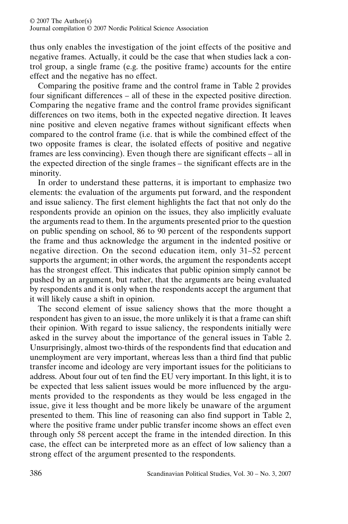thus only enables the investigation of the joint effects of the positive and negative frames. Actually, it could be the case that when studies lack a control group, a single frame (e.g. the positive frame) accounts for the entire effect and the negative has no effect.

Comparing the positive frame and the control frame in Table 2 provides four significant differences – all of these in the expected positive direction. Comparing the negative frame and the control frame provides significant differences on two items, both in the expected negative direction. It leaves nine positive and eleven negative frames without significant effects when compared to the control frame (i.e. that is while the combined effect of the two opposite frames is clear, the isolated effects of positive and negative frames are less convincing). Even though there are significant effects – all in the expected direction of the single frames – the significant effects are in the minority.

In order to understand these patterns, it is important to emphasize two elements: the evaluation of the arguments put forward, and the respondent and issue saliency. The first element highlights the fact that not only do the respondents provide an opinion on the issues, they also implicitly evaluate the arguments read to them. In the arguments presented prior to the question on public spending on school, 86 to 90 percent of the respondents support the frame and thus acknowledge the argument in the indented positive or negative direction. On the second education item, only 31–52 percent supports the argument; in other words, the argument the respondents accept has the strongest effect. This indicates that public opinion simply cannot be pushed by an argument, but rather, that the arguments are being evaluated by respondents and it is only when the respondents accept the argument that it will likely cause a shift in opinion.

The second element of issue saliency shows that the more thought a respondent has given to an issue, the more unlikely it is that a frame can shift their opinion. With regard to issue saliency, the respondents initially were asked in the survey about the importance of the general issues in Table 2. Unsurprisingly, almost two-thirds of the respondents find that education and unemployment are very important, whereas less than a third find that public transfer income and ideology are very important issues for the politicians to address. About four out of ten find the EU very important. In this light, it is to be expected that less salient issues would be more influenced by the arguments provided to the respondents as they would be less engaged in the issue, give it less thought and be more likely be unaware of the argument presented to them. This line of reasoning can also find support in Table 2, where the positive frame under public transfer income shows an effect even through only 58 percent accept the frame in the intended direction. In this case, the effect can be interpreted more as an effect of low saliency than a strong effect of the argument presented to the respondents.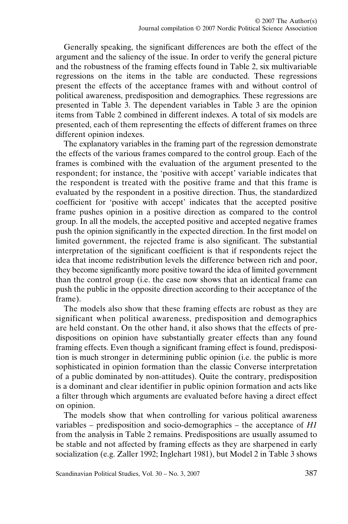Generally speaking, the significant differences are both the effect of the argument and the saliency of the issue. In order to verify the general picture and the robustness of the framing effects found in Table 2, six multivariable regressions on the items in the table are conducted. These regressions present the effects of the acceptance frames with and without control of political awareness, predisposition and demographics. These regressions are presented in Table 3. The dependent variables in Table 3 are the opinion items from Table 2 combined in different indexes. A total of six models are presented, each of them representing the effects of different frames on three different opinion indexes.

The explanatory variables in the framing part of the regression demonstrate the effects of the various frames compared to the control group. Each of the frames is combined with the evaluation of the argument presented to the respondent; for instance, the 'positive with accept' variable indicates that the respondent is treated with the positive frame and that this frame is evaluated by the respondent in a positive direction. Thus, the standardized coefficient for 'positive with accept' indicates that the accepted positive frame pushes opinion in a positive direction as compared to the control group. In all the models, the accepted positive and accepted negative frames push the opinion significantly in the expected direction. In the first model on limited government, the rejected frame is also significant. The substantial interpretation of the significant coefficient is that if respondents reject the idea that income redistribution levels the difference between rich and poor, they become significantly more positive toward the idea of limited government than the control group (i.e. the case now shows that an identical frame can push the public in the opposite direction according to their acceptance of the frame).

The models also show that these framing effects are robust as they are significant when political awareness, predisposition and demographics are held constant. On the other hand, it also shows that the effects of predispositions on opinion have substantially greater effects than any found framing effects. Even though a significant framing effect is found, predisposition is much stronger in determining public opinion (i.e. the public is more sophisticated in opinion formation than the classic Converse interpretation of a public dominated by non-attitudes). Quite the contrary, predisposition is a dominant and clear identifier in public opinion formation and acts like a filter through which arguments are evaluated before having a direct effect on opinion.

The models show that when controlling for various political awareness variables – predisposition and socio-demographics – the acceptance of *H1* from the analysis in Table 2 remains. Predispositions are usually assumed to be stable and not affected by framing effects as they are sharpened in early socialization (e.g. Zaller 1992; Inglehart 1981), but Model 2 in Table 3 shows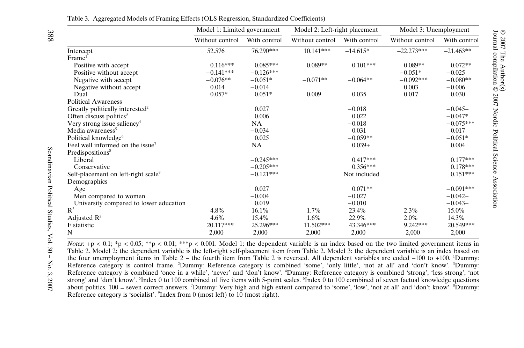|                                                 | Model 1: Limited government |              | Model 2: Left-right placement |              | Model 3: Unemployment |              |
|-------------------------------------------------|-----------------------------|--------------|-------------------------------|--------------|-----------------------|--------------|
|                                                 | Without control             | With control | Without control               | With control | Without control       | With control |
| Intercept                                       | 52.576                      | 76.290***    | $10.141***$                   | $-14.615*$   | $-22.273***$          | $-21.463**$  |
| Frame <sup>1</sup>                              |                             |              |                               |              |                       |              |
| Positive with accept                            | $0.116***$                  | $0.085***$   | $0.089**$                     | $0.101***$   | $0.089**$             | $0.072**$    |
| Positive without accept                         | $-0.141***$                 | $-0.126***$  |                               |              | $-0.051*$             | $-0.025$     |
| Negative with accept                            | $-0.076**$                  | $-0.051*$    | $-0.071**$                    | $-0.064**$   | $-0.092***$           | $-0.080**$   |
| Negative without accept                         | 0.014                       | $-0.014$     |                               |              | 0.003                 | $-0.006$     |
| Dual                                            | $0.057*$                    | $0.051*$     | 0.009                         | 0.035        | 0.017                 | 0.030        |
| <b>Political Awareness</b>                      |                             |              |                               |              |                       |              |
| Greatly politically interested <sup>2</sup>     |                             | 0.027        |                               | $-0.018$     |                       | $-0.045+$    |
| Often discuss politics <sup>3</sup>             |                             | 0.006        |                               | 0.022        |                       | $-0.047*$    |
| Very strong issue saliency <sup>4</sup>         |                             | NA           |                               | $-0.018$     |                       | $-0.075***$  |
| Media awareness <sup>5</sup>                    |                             | $-0.034$     |                               | 0.031        |                       | 0.017        |
| Political knowledge <sup>6</sup>                |                             | 0.025        |                               | $-0.059**$   |                       | $-0.051*$    |
| Feel well informed on the issue <sup>7</sup>    |                             | <b>NA</b>    |                               | $0.039+$     |                       | 0.004        |
| Predispositions <sup>8</sup>                    |                             |              |                               |              |                       |              |
| Liberal                                         |                             | $-0.245***$  |                               | $0.417***$   |                       | $0.177***$   |
| Conservative                                    |                             | $-0.205***$  |                               | $0.356***$   |                       | $0.178***$   |
| Self-placement on left-right scale <sup>9</sup> |                             | $-0.121***$  |                               | Not included |                       | $0.151***$   |
| Demographics                                    |                             |              |                               |              |                       |              |
| Age                                             |                             | 0.027        |                               | $0.071**$    |                       | $-0.091***$  |
| Men compared to women                           |                             | $-0.004$     |                               | $-0.027$     |                       | $-0.042+$    |
| University compared to lower education          |                             | 0.019        |                               | $-0.010$     |                       | $-0.043+$    |
| $\mathbf{R}^2$                                  | 4.8%                        | 16.1%        | 1.7%                          | 23.4%        | 2.3%                  | 15.0%        |
| Adjusted $\mathbb{R}^2$                         | 4.6%                        | 15.4%        | 1.6%                          | 22.9%        | 2.0%                  | 14.3%        |
| F statistic                                     | 20.117***                   | 25.296***    | 11.502***                     | 43.346***    | $9.242***$            | 20.549***    |
| N                                               | 2,000                       | 2,000        | 2,000                         | 2,000        | 2,000                 | 2,000        |

#### Table 3. Aggregated Models of Framing Effects (OLS Regression, Standardized Coefficients)

*Notes*: +p < 0.1; \*p < 0.05; \*\*p < 0.01; \*\*\*p < 0.001. Model 1: the dependent variable is an index based on the two limited government items in Table 2. Model 2: the dependent variable is the left-right self-placement item from Table 2. Model 3: the dependent variable is an index based on the four unemployment items in Table 2 – the fourth item from Table 2 is reversed. All dependent variables are coded −100 to +100. 1Dummy: Reference category is control frame. <sup>2</sup>Dummy: Reference category is combined 'some', 'only little', 'not at all' and 'don't know'. <sup>3</sup>Dummy: Reference category is combined 'once in a while', 'never' and 'don't know'. 4Dummy: Reference category is combined 'strong', 'less strong', 'not strong' and 'don't know'. <sup>5</sup>Index 0 to 100 combined of five items with 5-point scales. <sup>6</sup>Index 0 to 100 combined of seven factual knowledge questions about politics. 100 = seven correct answers. 7Dummy: Very high and high extent compared to 'some', 'low', 'not at all' and 'don't know'. 8Dummy: Reference category is 'socialist'. <sup>9</sup>Index from 0 (most left) to 10 (most right).

388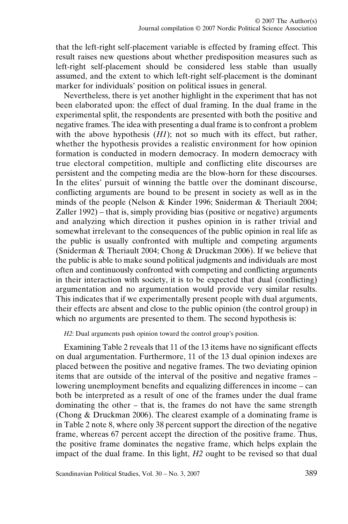that the left-right self-placement variable is effected by framing effect. This result raises new questions about whether predisposition measures such as left-right self-placement should be considered less stable than usually assumed, and the extent to which left-right self-placement is the dominant marker for individuals' position on political issues in general.

Nevertheless, there is yet another highlight in the experiment that has not been elaborated upon: the effect of dual framing. In the dual frame in the experimental split, the respondents are presented with both the positive and negative frames. The idea with presenting a dual frame is to confront a problem with the above hypothesis  $(H1)$ ; not so much with its effect, but rather, whether the hypothesis provides a realistic environment for how opinion formation is conducted in modern democracy. In modern democracy with true electoral competition, multiple and conflicting elite discourses are persistent and the competing media are the blow-horn for these discourses. In the elites' pursuit of winning the battle over the dominant discourse, conflicting arguments are bound to be present in society as well as in the minds of the people (Nelson & Kinder 1996; Sniderman & Theriault 2004; Zaller 1992) – that is, simply providing bias (positive or negative) arguments and analyzing which direction it pushes opinion in is rather trivial and somewhat irrelevant to the consequences of the public opinion in real life as the public is usually confronted with multiple and competing arguments (Sniderman & Theriault 2004; Chong & Druckman 2006). If we believe that the public is able to make sound political judgments and individuals are most often and continuously confronted with competing and conflicting arguments in their interaction with society, it is to be expected that dual (conflicting) argumentation and no argumentation would provide very similar results. This indicates that if we experimentally present people with dual arguments, their effects are absent and close to the public opinion (the control group) in which no arguments are presented to them. The second hypothesis is:

#### *H2*: Dual arguments push opinion toward the control group's position.

Examining Table 2 reveals that 11 of the 13 items have no significant effects on dual argumentation. Furthermore, 11 of the 13 dual opinion indexes are placed between the positive and negative frames. The two deviating opinion items that are outside of the interval of the positive and negative frames – lowering unemployment benefits and equalizing differences in income – can both be interpreted as a result of one of the frames under the dual frame dominating the other – that is, the frames do not have the same strength (Chong & Druckman 2006). The clearest example of a dominating frame is in Table 2 note 8, where only 38 percent support the direction of the negative frame, whereas 67 percent accept the direction of the positive frame. Thus, the positive frame dominates the negative frame, which helps explain the impact of the dual frame. In this light, *H2* ought to be revised so that dual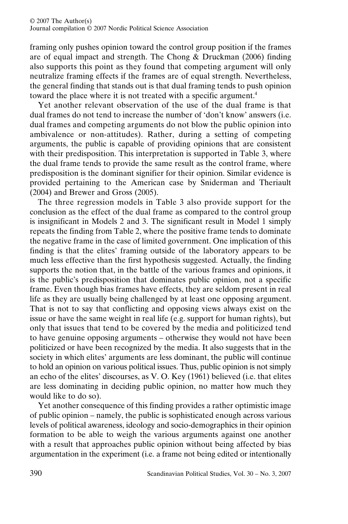framing only pushes opinion toward the control group position if the frames are of equal impact and strength. The Chong  $\&$  Druckman (2006) finding also supports this point as they found that competing argument will only neutralize framing effects if the frames are of equal strength. Nevertheless, the general finding that stands out is that dual framing tends to push opinion toward the place where it is not treated with a specific argument.<sup>4</sup>

Yet another relevant observation of the use of the dual frame is that dual frames do not tend to increase the number of 'don't know' answers (i.e. dual frames and competing arguments do not blow the public opinion into ambivalence or non-attitudes). Rather, during a setting of competing arguments, the public is capable of providing opinions that are consistent with their predisposition. This interpretation is supported in Table 3, where the dual frame tends to provide the same result as the control frame, where predisposition is the dominant signifier for their opinion. Similar evidence is provided pertaining to the American case by Sniderman and Theriault (2004) and Brewer and Gross (2005).

The three regression models in Table 3 also provide support for the conclusion as the effect of the dual frame as compared to the control group is insignificant in Models 2 and 3. The significant result in Model 1 simply repeats the finding from Table 2, where the positive frame tends to dominate the negative frame in the case of limited government. One implication of this finding is that the elites' framing outside of the laboratory appears to be much less effective than the first hypothesis suggested. Actually, the finding supports the notion that, in the battle of the various frames and opinions, it is the public's predisposition that dominates public opinion, not a specific frame. Even though bias frames have effects, they are seldom present in real life as they are usually being challenged by at least one opposing argument. That is not to say that conflicting and opposing views always exist on the issue or have the same weight in real life (e.g. support for human rights), but only that issues that tend to be covered by the media and politicized tend to have genuine opposing arguments – otherwise they would not have been politicized or have been recognized by the media. It also suggests that in the society in which elites' arguments are less dominant, the public will continue to hold an opinion on various political issues. Thus, public opinion is not simply an echo of the elites' discourses, as V. O. Key (1961) believed (i.e. that elites are less dominating in deciding public opinion, no matter how much they would like to do so).

Yet another consequence of this finding provides a rather optimistic image of public opinion – namely, the public is sophisticated enough across various levels of political awareness, ideology and socio-demographics in their opinion formation to be able to weigh the various arguments against one another with a result that approaches public opinion without being affected by bias argumentation in the experiment (i.e. a frame not being edited or intentionally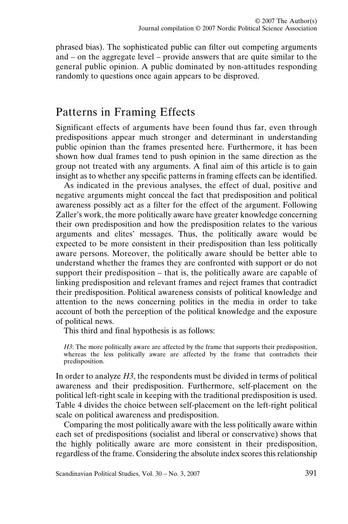phrased bias). The sophisticated public can filter out competing arguments and – on the aggregate level – provide answers that are quite similar to the general public opinion. A public dominated by non-attitudes responding randomly to questions once again appears to be disproved.

### Patterns in Framing Effects

Significant effects of arguments have been found thus far, even through predispositions appear much stronger and determinant in understanding public opinion than the frames presented here. Furthermore, it has been shown how dual frames tend to push opinion in the same direction as the group not treated with any arguments. A final aim of this article is to gain insight as to whether any specific patterns in framing effects can be identified.

As indicated in the previous analyses, the effect of dual, positive and negative arguments might conceal the fact that predisposition and political awareness possibly act as a filter for the effect of the argument. Following Zaller's work, the more politically aware have greater knowledge concerning their own predisposition and how the predisposition relates to the various arguments and elites' messages. Thus, the politically aware would be expected to be more consistent in their predisposition than less politically aware persons. Moreover, the politically aware should be better able to understand whether the frames they are confronted with support or do not support their predisposition – that is, the politically aware are capable of linking predisposition and relevant frames and reject frames that contradict their predisposition. Political awareness consists of political knowledge and attention to the news concerning politics in the media in order to take account of both the perception of the political knowledge and the exposure of political news.

This third and final hypothesis is as follows:

*H3*: The more politically aware are affected by the frame that supports their predisposition, whereas the less politically aware are affected by the frame that contradicts their predisposition.

In order to analyze *H3*, the respondents must be divided in terms of political awareness and their predisposition. Furthermore, self-placement on the political left-right scale in keeping with the traditional predisposition is used. Table 4 divides the choice between self-placement on the left-right political scale on political awareness and predisposition.

Comparing the most politically aware with the less politically aware within each set of predispositions (socialist and liberal or conservative) shows that the highly politically aware are more consistent in their predisposition, regardless of the frame. Considering the absolute index scores this relationship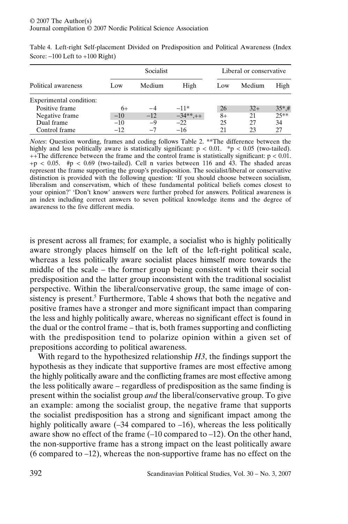|                         |       | Socialist | Liberal or conservative |     |        |           |
|-------------------------|-------|-----------|-------------------------|-----|--------|-----------|
| Political awareness     | Low.  | Medium    | High                    | Low | Medium | High      |
| Experimental condition: |       |           |                         |     |        |           |
| Positive frame          | $6+$  | $-4$      | $-11*$                  | 26  | $32+$  | $35^*$ ,# |
| Negative frame          | $-10$ | $-12$     | $-34**$ , ++            | 8+  | 21     | $25**$    |
| Dual frame              | $-10$ | -9        | $-22$                   | 25  | 27     | 34        |
| Control frame           | $-12$ |           | $-16$                   | 21  | 23     | 27        |

Table 4. Left-right Self-placement Divided on Predisposition and Political Awareness (Index Score: −100 Left to +100 Right)

*Notes*: Question wording, frames and coding follows Table 2. \*\*The difference between the highly and less politically aware is statistically significant:  $p < 0.01$ . \*p < 0.05 (two-tailed).  $++$ The difference between the frame and the control frame is statistically significant:  $p < 0.01$ .  $+p < 0.05$ . #p < 0.69 (two-tailed). Cell n varies between 116 and 43. The shaded areas represent the frame supporting the group's predisposition. The socialist/liberal or conservative distinction is provided with the following question: 'If you should choose between socialism, liberalism and conservatism, which of these fundamental political beliefs comes closest to your opinion?' 'Don't know' answers were further probed for answers. Political awareness is an index including correct answers to seven political knowledge items and the degree of awareness to the five different media.

is present across all frames; for example, a socialist who is highly politically aware strongly places himself on the left of the left-right political scale, whereas a less politically aware socialist places himself more towards the middle of the scale – the former group being consistent with their social predisposition and the latter group inconsistent with the traditional socialist perspective. Within the liberal/conservative group, the same image of consistency is present.<sup>5</sup> Furthermore, Table 4 shows that both the negative and positive frames have a stronger and more significant impact than comparing the less and highly politically aware, whereas no significant effect is found in the dual or the control frame – that is, both frames supporting and conflicting with the predisposition tend to polarize opinion within a given set of prepositions according to political awareness.

With regard to the hypothesized relationship *H3*, the findings support the hypothesis as they indicate that supportive frames are most effective among the highly politically aware and the conflicting frames are most effective among the less politically aware – regardless of predisposition as the same finding is present within the socialist group *and* the liberal/conservative group. To give an example: among the socialist group, the negative frame that supports the socialist predisposition has a strong and significant impact among the highly politically aware  $(-34 \text{ compared to } -16)$ , whereas the less politically aware show no effect of the frame (–10 compared to –12). On the other hand, the non-supportive frame has a strong impact on the least politically aware (6 compared to –12), whereas the non-supportive frame has no effect on the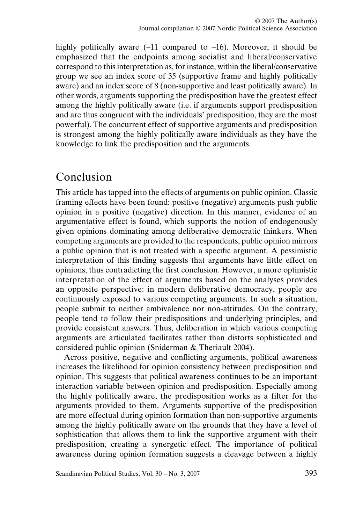highly politically aware  $(-11)$  compared to  $-16$ ). Moreover, it should be emphasized that the endpoints among socialist and liberal/conservative correspond to this interpretation as, for instance, within the liberal/conservative group we see an index score of 35 (supportive frame and highly politically aware) and an index score of 8 (non-supportive and least politically aware). In other words, arguments supporting the predisposition have the greatest effect among the highly politically aware (i.e. if arguments support predisposition and are thus congruent with the individuals' predisposition, they are the most powerful). The concurrent effect of supportive arguments and predisposition is strongest among the highly politically aware individuals as they have the knowledge to link the predisposition and the arguments.

### Conclusion

This article has tapped into the effects of arguments on public opinion. Classic framing effects have been found: positive (negative) arguments push public opinion in a positive (negative) direction. In this manner, evidence of an argumentative effect is found, which supports the notion of endogenously given opinions dominating among deliberative democratic thinkers. When competing arguments are provided to the respondents, public opinion mirrors a public opinion that is not treated with a specific argument. A pessimistic interpretation of this finding suggests that arguments have little effect on opinions, thus contradicting the first conclusion. However, a more optimistic interpretation of the effect of arguments based on the analyses provides an opposite perspective: in modern deliberative democracy, people are continuously exposed to various competing arguments. In such a situation, people submit to neither ambivalence nor non-attitudes. On the contrary, people tend to follow their predispositions and underlying principles, and provide consistent answers. Thus, deliberation in which various competing arguments are articulated facilitates rather than distorts sophisticated and considered public opinion (Sniderman & Theriault 2004).

Across positive, negative and conflicting arguments, political awareness increases the likelihood for opinion consistency between predisposition and opinion. This suggests that political awareness continues to be an important interaction variable between opinion and predisposition. Especially among the highly politically aware, the predisposition works as a filter for the arguments provided to them. Arguments supportive of the predisposition are more effectual during opinion formation than non-supportive arguments among the highly politically aware on the grounds that they have a level of sophistication that allows them to link the supportive argument with their predisposition, creating a synergetic effect. The importance of political awareness during opinion formation suggests a cleavage between a highly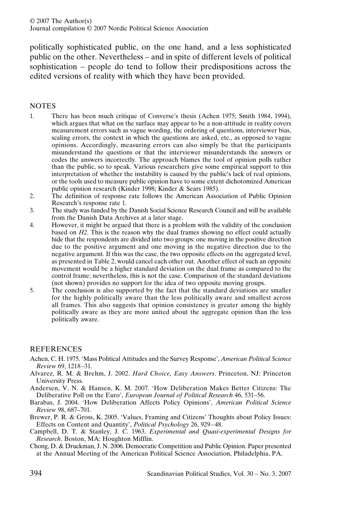politically sophisticated public, on the one hand, and a less sophisticated public on the other. Nevertheless – and in spite of different levels of political sophistication – people do tend to follow their predispositions across the edited versions of reality with which they have been provided.

### **NOTES**

- 1. There has been much critique of Converse's thesis (Achen 1975; Smith 1984, 1994), which argues that what on the surface may appear to be a non-attitude in reality covers measurement errors such as vague wording, the ordering of questions, interviewer bias, scaling errors, the context in which the questions are asked, etc., as opposed to vague opinions. Accordingly, measuring errors can also simply be that the participants misunderstand the questions or that the interviewer misunderstands the answers or codes the answers incorrectly. The approach blames the tool of opinion polls rather than the public, so to speak. Various researchers give some empirical support to this interpretation of whether the instability is caused by the public's lack of real opinions, or the tools used to measure public opinion have to some extent dichotomized American public opinion research (Kinder 1998; Kinder & Sears 1985).
- 2. The definition of response rate follows the American Association of Public Opinion Research's response rate 1.
- 3. The study was funded by the Danish Social Science Research Council and will be available from the Danish Data Archives at a later stage.
- 4. However, it might be argued that there is a problem with the validity of the conclusion based on *H2*. This is the reason why the dual frames showing no effect could actually hide that the respondents are divided into two groups: one moving in the positive direction due to the positive argument and one moving in the negative direction due to the negative argument. If this was the case, the two opposite effects on the aggregated level, as presented in Table 2, would cancel each other out. Another effect of such an opposite movement would be a higher standard deviation on the dual frame as compared to the control frame; nevertheless, this is not the case. Comparison of the standard deviations (not shown) provides no support for the idea of two opposite moving groups.
- 5. The conclusion is also supported by the fact that the standard deviations are smaller for the highly politically aware than the less politically aware and smallest across all frames. This also suggests that opinion consistency is greater among the highly politically aware as they are more united about the aggregate opinion than the less politically aware.

#### REFERENCES

- Achen, C. H. 1975. 'Mass Political Attitudes and the Survey Response', *American Political Science Review* 69, 1218–31.
- Alvarez, R. M. & Brehm, J. 2002. *Hard Choice, Easy Answers*. Princeton, NJ: Princeton University Press.
- Andersen, V. N. & Hansen, K. M. 2007. 'How Deliberation Makes Better Citizens: The Deliberative Poll on the Euro', *European Journal of Political Research* 46, 531–56.
- Barabas, J. 2004. 'How Deliberation Affects Policy Opinions', *American Political Science Review* 98, 687–701.
- Brewer, P. R. & Gross, K. 2005. 'Values, Framing and Citizens' Thoughts about Policy Issues: Effects on Content and Quantity', *Political Psychology* 26, 929–48.
- Campbell, D. T. & Stanley, J. C. 1963. *Experimental and Quasi-experimental Designs for Research*. Boston, MA: Houghton Mifflin.
- Chong, D. & Druckman, J. N. 2006. Democratic Competition and Public Opinion. Paper presented at the Annual Meeting of the American Political Science Association, Philadelphia, PA.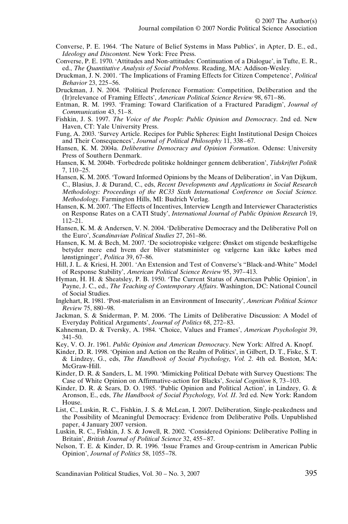- Converse, P. E. 1964. 'The Nature of Belief Systems in Mass Publics', in Apter, D. E., ed., *Ideology and Discontent*. New York: Free Press.
- Converse, P. E. 1970. 'Attitudes and Non-attitudes: Continuation of a Dialogue', in Tufte, E. R., ed., *The Quantitative Analysis of Social Problems*. Reading, MA: Addison-Wesley.
- Druckman, J. N. 2001. 'The Implications of Framing Effects for Citizen Competence', *Political Behavior* 23, 225–56.
- Druckman, J. N. 2004. 'Political Preference Formation: Competition, Deliberation and the (Ir)relevance of Framing Effects', *American Political Science Review* 98, 671–86.
- Entman, R. M. 1993. 'Framing: Toward Clarification of a Fractured Paradigm', *Journal of Communication* 43, 51–8.
- Fishkin, J. S. 1997. *The Voice of the People: Public Opinion and Democracy*. 2nd ed. New Haven, CT: Yale University Press.
- Fung, A. 2003. 'Survey Article. Recipes for Public Spheres: Eight Institutional Design Choices and Their Consequences', *Journal of Political Philosophy* 11, 338–67.
- Hansen, K. M. 2004a. *Deliberative Democracy and Opinion Formation*. Odense: University Press of Southern Denmark.
- Hansen, K. M. 2004b. 'Forbedrede politiske holdninger gennem deliberation', *Tidskriftet Politik* 7, 110–25.
- Hansen, K. M. 2005. 'Toward Informed Opinions by the Means of Deliberation', in Van Dijkum, C., Blasius, J. & Durand, C., eds, *Recent Developments and Applications in Social Research Methodology: Proceedings of the RC33 Sixth International Conference on Social Science. Methodology*. Farmington Hills, MI: Budrich Verlag.
- Hansen, K. M. 2007. 'The Effects of Incentives, Interview Length and Interviewer Characteristics on Response Rates on a CATI Study', *International Journal of Public Opinion Research* 19, 112–21.
- Hansen, K. M. & Andersen, V. N. 2004. 'Deliberative Democracy and the Deliberative Poll on the Euro', *Scandinavian Political Studies* 27, 261–86.
- Hansen, K. M. & Bech, M. 2007. 'De sociotropiske vælgere: Ønsket om stigende beskæftigelse betyder mere end hvem der bliver statsminister og vælgerne kan ikke købes med lønstigninger', *Politica* 39, 67–86.
- Hill, J. L. & Kriesi, H. 2001. 'An Extension and Test of Converse's "Black-and-White" Model of Response Stability', *American Political Science Review* 95, 397–413.
- Hyman, H. H. & Sheatsley, P. B. 1950. 'The Current Status of American Public Opinion', in Payne, J. C., ed., *The Teaching of Contemporary Affairs*. Washington, DC: National Council of Social Studies.
- Inglehart, R. 1981. 'Post-materialism in an Environment of Insecurity', *American Political Science Review* 75, 880–98.
- Jackman, S. & Sniderman, P. M. 2006. 'The Limits of Deliberative Discussion: A Model of Everyday Political Arguments', *Journal of Politics* 68, 272–83.
- Kahneman, D. & Tversky, A. 1984. 'Choice, Values and Frames', *American Psychologist* 39, 341–50.
- Key, V. O. Jr. 1961. *Public Opinion and American Democracy*. New York: Alfred A. Knopf.
- Kinder, D. R. 1998. 'Opinion and Action on the Realm of Politics', in Gilbert, D. T., Fiske, S. T. & Lindzey, G., eds, *The Handbook of Social Psychology, Vol. 2*. 4th ed. Boston, MA: McGraw-Hill.
- Kinder, D. R. & Sanders, L. M. 1990. 'Mimicking Political Debate with Survey Questions: The Case of White Opinion on Affirmative-action for Blacks', *Social Cognition* 8, 73–103.
- Kinder, D. R. & Sears, D. O. 1985. 'Public Opinion and Political Action', in Lindzey, G. & Aronson, E., eds, *The Handbook of Social Psychology, Vol. II*. 3rd ed. New York: Random House.
- List, C., Luskin, R. C., Fishkin, J. S. & McLean, I. 2007. Deliberation, Single-peakedness and the Possibility of Meaningful Democracy: Evidence from Deliberative Polls. Unpublished paper, 4 January 2007 version.
- Luskin, R. C., Fishkin, J. S. & Jowell, R. 2002. 'Considered Opinions: Deliberative Polling in Britain', *British Journal of Political Science* 32, 455–87.
- Nelson, T. E. & Kinder, D. R. 1996. 'Issue Frames and Group-centrism in American Public Opinion', *Journal of Politics* 58, 1055–78.

Scandinavian Political Studies, Vol. 30 – No. 3, 2007 395